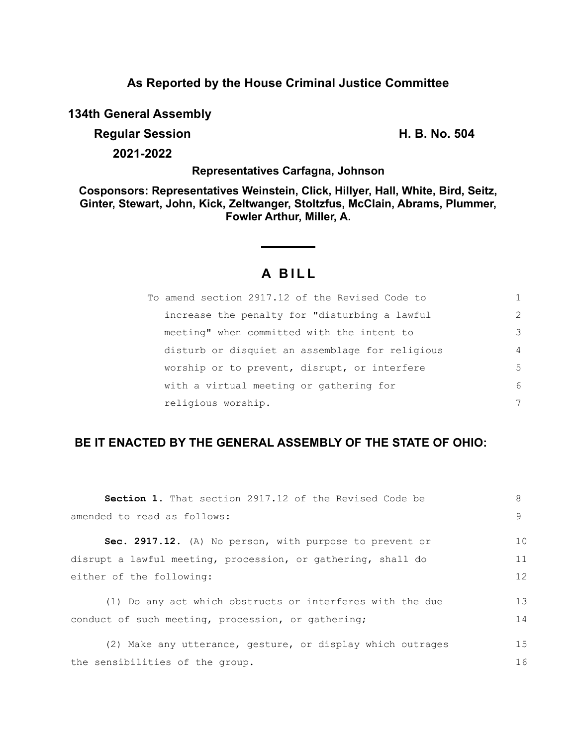### **As Reported by the House Criminal Justice Committee**

**134th General Assembly**

**Regular Session H. B. No. 504**

**2021-2022**

#### **Representatives Carfagna, Johnson**

**Cosponsors: Representatives Weinstein, Click, Hillyer, Hall, White, Bird, Seitz, Ginter, Stewart, John, Kick, Zeltwanger, Stoltzfus, McClain, Abrams, Plummer, Fowler Arthur, Miller, A.**

# **A B I L L**

| To amend section 2917.12 of the Revised Code to |               |
|-------------------------------------------------|---------------|
| increase the penalty for "disturbing a lawful   | $\mathcal{L}$ |
| meeting" when committed with the intent to      | 3             |
| disturb or disquiet an assemblage for religious | 4             |
| worship or to prevent, disrupt, or interfere    | 5             |
| with a virtual meeting or gathering for         | 6             |
| religious worship.                              | 7             |

## **BE IT ENACTED BY THE GENERAL ASSEMBLY OF THE STATE OF OHIO:**

| <b>Section 1.</b> That section 2917.12 of the Revised Code be | 8  |
|---------------------------------------------------------------|----|
| amended to read as follows:                                   | 9  |
| Sec. 2917.12. (A) No person, with purpose to prevent or       | 10 |
| disrupt a lawful meeting, procession, or gathering, shall do  | 11 |
| either of the following:                                      | 12 |
| (1) Do any act which obstructs or interferes with the due     | 13 |
| conduct of such meeting, procession, or gathering;            | 14 |
| (2) Make any utterance, gesture, or display which outrages    | 15 |
| the sensibilities of the group.                               | 16 |